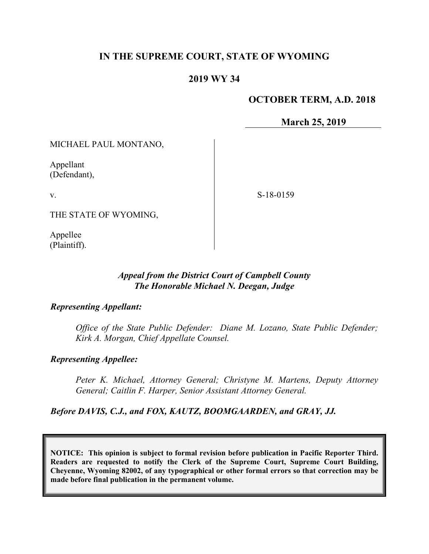# **IN THE SUPREME COURT, STATE OF WYOMING**

## **2019 WY 34**

#### **OCTOBER TERM, A.D. 2018**

**March 25, 2019**

MICHAEL PAUL MONTANO,

Appellant (Defendant),

v.

S-18-0159

THE STATE OF WYOMING,

Appellee (Plaintiff).

## *Appeal from the District Court of Campbell County The Honorable Michael N. Deegan, Judge*

#### *Representing Appellant:*

*Office of the State Public Defender: Diane M. Lozano, State Public Defender; Kirk A. Morgan, Chief Appellate Counsel.*

#### *Representing Appellee:*

*Peter K. Michael, Attorney General; Christyne M. Martens, Deputy Attorney General; Caitlin F. Harper, Senior Assistant Attorney General.*

*Before DAVIS, C.J., and FOX, KAUTZ, BOOMGAARDEN, and GRAY, JJ.*

**NOTICE: This opinion is subject to formal revision before publication in Pacific Reporter Third. Readers are requested to notify the Clerk of the Supreme Court, Supreme Court Building, Cheyenne, Wyoming 82002, of any typographical or other formal errors so that correction may be made before final publication in the permanent volume.**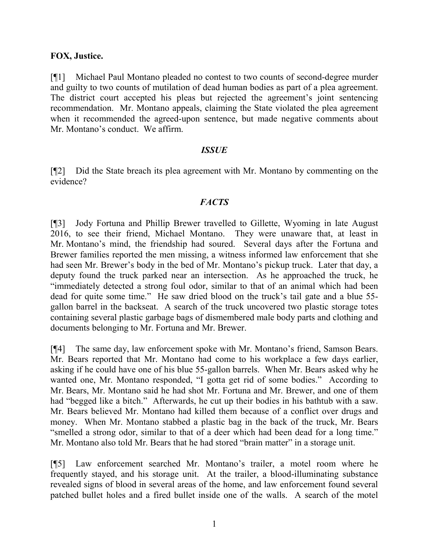#### **FOX, Justice.**

[¶1] Michael Paul Montano pleaded no contest to two counts of second-degree murder and guilty to two counts of mutilation of dead human bodies as part of a plea agreement. The district court accepted his pleas but rejected the agreement's joint sentencing recommendation. Mr. Montano appeals, claiming the State violated the plea agreement when it recommended the agreed-upon sentence, but made negative comments about Mr. Montano's conduct. We affirm.

#### *ISSUE*

[¶2] Did the State breach its plea agreement with Mr. Montano by commenting on the evidence?

## *FACTS*

[¶3] Jody Fortuna and Phillip Brewer travelled to Gillette, Wyoming in late August 2016, to see their friend, Michael Montano. They were unaware that, at least in Mr. Montano's mind, the friendship had soured. Several days after the Fortuna and Brewer families reported the men missing, a witness informed law enforcement that she had seen Mr. Brewer's body in the bed of Mr. Montano's pickup truck. Later that day, a deputy found the truck parked near an intersection. As he approached the truck, he "immediately detected a strong foul odor, similar to that of an animal which had been dead for quite some time." He saw dried blood on the truck's tail gate and a blue 55 gallon barrel in the backseat. A search of the truck uncovered two plastic storage totes containing several plastic garbage bags of dismembered male body parts and clothing and documents belonging to Mr. Fortuna and Mr. Brewer.

[¶4] The same day, law enforcement spoke with Mr. Montano's friend, Samson Bears. Mr. Bears reported that Mr. Montano had come to his workplace a few days earlier, asking if he could have one of his blue 55-gallon barrels. When Mr. Bears asked why he wanted one, Mr. Montano responded, "I gotta get rid of some bodies." According to Mr. Bears, Mr. Montano said he had shot Mr. Fortuna and Mr. Brewer, and one of them had "begged like a bitch." Afterwards, he cut up their bodies in his bathtub with a saw. Mr. Bears believed Mr. Montano had killed them because of a conflict over drugs and money. When Mr. Montano stabbed a plastic bag in the back of the truck, Mr. Bears "smelled a strong odor, similar to that of a deer which had been dead for a long time." Mr. Montano also told Mr. Bears that he had stored "brain matter" in a storage unit.

[¶5] Law enforcement searched Mr. Montano's trailer, a motel room where he frequently stayed, and his storage unit. At the trailer, a blood-illuminating substance revealed signs of blood in several areas of the home, and law enforcement found several patched bullet holes and a fired bullet inside one of the walls. A search of the motel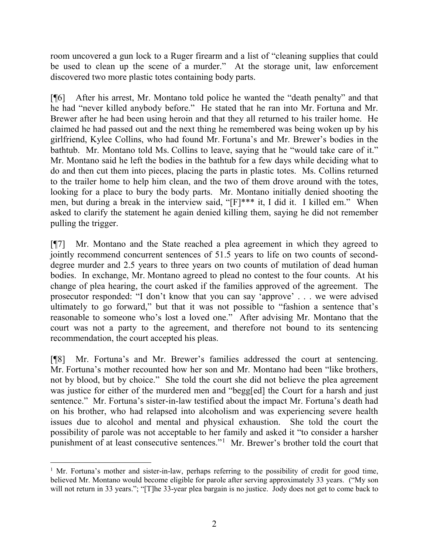room uncovered a gun lock to a Ruger firearm and a list of "cleaning supplies that could be used to clean up the scene of a murder." At the storage unit, law enforcement discovered two more plastic totes containing body parts.

[¶6] After his arrest, Mr. Montano told police he wanted the "death penalty" and that he had "never killed anybody before." He stated that he ran into Mr. Fortuna and Mr. Brewer after he had been using heroin and that they all returned to his trailer home. He claimed he had passed out and the next thing he remembered was being woken up by his girlfriend, Kylee Collins, who had found Mr. Fortuna's and Mr. Brewer's bodies in the bathtub. Mr. Montano told Ms. Collins to leave, saying that he "would take care of it." Mr. Montano said he left the bodies in the bathtub for a few days while deciding what to do and then cut them into pieces, placing the parts in plastic totes. Ms. Collins returned to the trailer home to help him clean, and the two of them drove around with the totes, looking for a place to bury the body parts. Mr. Montano initially denied shooting the men, but during a break in the interview said, "[F]\*\*\* it, I did it. I killed em." When asked to clarify the statement he again denied killing them, saying he did not remember pulling the trigger.

[¶7] Mr. Montano and the State reached a plea agreement in which they agreed to jointly recommend concurrent sentences of 51.5 years to life on two counts of seconddegree murder and 2.5 years to three years on two counts of mutilation of dead human bodies. In exchange, Mr. Montano agreed to plead no contest to the four counts. At his change of plea hearing, the court asked if the families approved of the agreement. The prosecutor responded: "I don't know that you can say 'approve' . . . we were advised ultimately to go forward," but that it was not possible to "fashion a sentence that's reasonable to someone who's lost a loved one." After advising Mr. Montano that the court was not a party to the agreement, and therefore not bound to its sentencing recommendation, the court accepted his pleas.

[¶8] Mr. Fortuna's and Mr. Brewer's families addressed the court at sentencing. Mr. Fortuna's mother recounted how her son and Mr. Montano had been "like brothers, not by blood, but by choice." She told the court she did not believe the plea agreement was justice for either of the murdered men and "begg[ed] the Court for a harsh and just sentence." Mr. Fortuna's sister-in-law testified about the impact Mr. Fortuna's death had on his brother, who had relapsed into alcoholism and was experiencing severe health issues due to alcohol and mental and physical exhaustion. She told the court the possibility of parole was not acceptable to her family and asked it "to consider a harsher punishment of at least consecutive sentences."<sup>[1](#page-2-0)</sup> Mr. Brewer's brother told the court that

<span id="page-2-0"></span><sup>&</sup>lt;sup>1</sup> Mr. Fortuna's mother and sister-in-law, perhaps referring to the possibility of credit for good time, believed Mr. Montano would become eligible for parole after serving approximately 33 years. ("My son will not return in 33 years."; "[T]he 33-year plea bargain is no justice. Jody does not get to come back to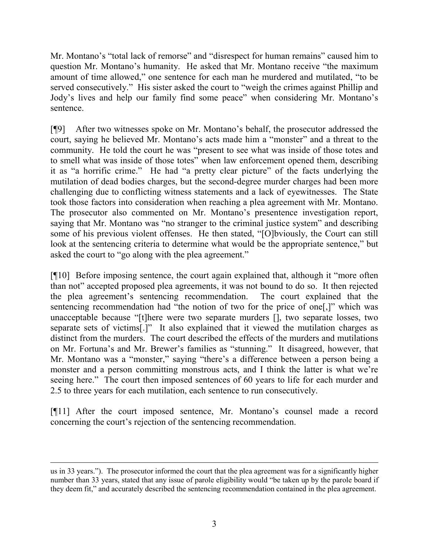Mr. Montano's "total lack of remorse" and "disrespect for human remains" caused him to question Mr. Montano's humanity. He asked that Mr. Montano receive "the maximum amount of time allowed," one sentence for each man he murdered and mutilated, "to be served consecutively." His sister asked the court to "weigh the crimes against Phillip and Jody's lives and help our family find some peace" when considering Mr. Montano's sentence.

[¶9] After two witnesses spoke on Mr. Montano's behalf, the prosecutor addressed the court, saying he believed Mr. Montano's acts made him a "monster" and a threat to the community. He told the court he was "present to see what was inside of those totes and to smell what was inside of those totes" when law enforcement opened them, describing it as "a horrific crime." He had "a pretty clear picture" of the facts underlying the mutilation of dead bodies charges, but the second-degree murder charges had been more challenging due to conflicting witness statements and a lack of eyewitnesses. The State took those factors into consideration when reaching a plea agreement with Mr. Montano. The prosecutor also commented on Mr. Montano's presentence investigation report, saying that Mr. Montano was "no stranger to the criminal justice system" and describing some of his previous violent offenses. He then stated, "[O]bviously, the Court can still look at the sentencing criteria to determine what would be the appropriate sentence," but asked the court to "go along with the plea agreement."

[¶10] Before imposing sentence, the court again explained that, although it "more often than not" accepted proposed plea agreements, it was not bound to do so. It then rejected the plea agreement's sentencing recommendation. The court explained that the sentencing recommendation had "the notion of two for the price of one[,]" which was unacceptable because "[t]here were two separate murders [], two separate losses, two separate sets of victims[.]" It also explained that it viewed the mutilation charges as distinct from the murders. The court described the effects of the murders and mutilations on Mr. Fortuna's and Mr. Brewer's families as "stunning." It disagreed, however, that Mr. Montano was a "monster," saying "there's a difference between a person being a monster and a person committing monstrous acts, and I think the latter is what we're seeing here." The court then imposed sentences of 60 years to life for each murder and 2.5 to three years for each mutilation, each sentence to run consecutively.

[¶11] After the court imposed sentence, Mr. Montano's counsel made a record concerning the court's rejection of the sentencing recommendation.

 $\overline{a}$ us in 33 years."). The prosecutor informed the court that the plea agreement was for a significantly higher number than 33 years, stated that any issue of parole eligibility would "be taken up by the parole board if they deem fit," and accurately described the sentencing recommendation contained in the plea agreement.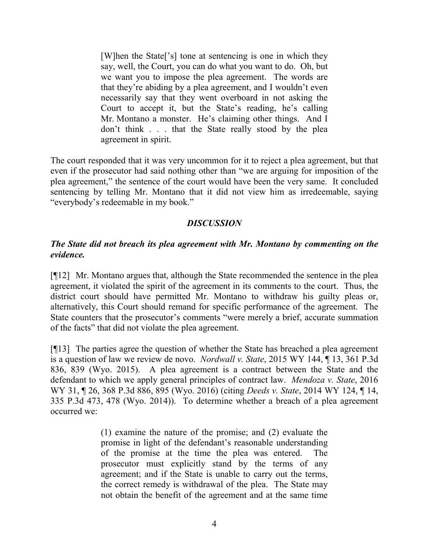[W]hen the State['s] tone at sentencing is one in which they say, well, the Court, you can do what you want to do. Oh, but we want you to impose the plea agreement. The words are that they're abiding by a plea agreement, and I wouldn't even necessarily say that they went overboard in not asking the Court to accept it, but the State's reading, he's calling Mr. Montano a monster. He's claiming other things. And I don't think . . . that the State really stood by the plea agreement in spirit.

The court responded that it was very uncommon for it to reject a plea agreement, but that even if the prosecutor had said nothing other than "we are arguing for imposition of the plea agreement," the sentence of the court would have been the very same. It concluded sentencing by telling Mr. Montano that it did not view him as irredeemable, saying "everybody's redeemable in my book."

### *DISCUSSION*

## *The State did not breach its plea agreement with Mr. Montano by commenting on the evidence.*

[¶12] Mr. Montano argues that, although the State recommended the sentence in the plea agreement, it violated the spirit of the agreement in its comments to the court. Thus, the district court should have permitted Mr. Montano to withdraw his guilty pleas or, alternatively, this Court should remand for specific performance of the agreement. The State counters that the prosecutor's comments "were merely a brief, accurate summation of the facts" that did not violate the plea agreement.

[¶13] The parties agree the question of whether the State has breached a plea agreement is a question of law we review de novo. *Nordwall v. State*, 2015 WY 144, ¶ 13, 361 P.3d 836, 839 (Wyo. 2015). A plea agreement is a contract between the State and the defendant to which we apply general principles of contract law. *Mendoza v. State*, 2016 WY 31, ¶ 26, 368 P.3d 886, 895 (Wyo. 2016) (citing *Deeds v. State*, 2014 WY 124, ¶ 14, 335 P.3d 473, 478 (Wyo. 2014)). To determine whether a breach of a plea agreement occurred we:

> (1) examine the nature of the promise; and (2) evaluate the promise in light of the defendant's reasonable understanding of the promise at the time the plea was entered. The prosecutor must explicitly stand by the terms of any agreement; and if the State is unable to carry out the terms, the correct remedy is withdrawal of the plea. The State may not obtain the benefit of the agreement and at the same time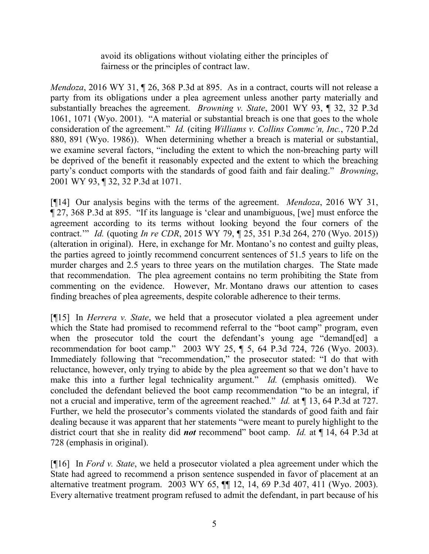avoid its obligations without violating either the principles of fairness or the principles of contract law.

*Mendoza*, 2016 WY 31, ¶ 26, 368 P.3d at 895.As in a contract, courts will not release a party from its obligations under a plea agreement unless another party materially and substantially breaches the agreement. *Browning v. State*, 2001 WY 93, ¶ 32, 32 P.3d 1061, 1071 (Wyo. 2001). "A material or substantial breach is one that goes to the whole consideration of the agreement." *Id.* (citing *Williams v. Collins Commc'n, Inc.*, 720 P.2d 880, 891 (Wyo. 1986)). When determining whether a breach is material or substantial, we examine several factors, "including the extent to which the non-breaching party will be deprived of the benefit it reasonably expected and the extent to which the breaching party's conduct comports with the standards of good faith and fair dealing." *Browning*, 2001 WY 93, ¶ 32, 32 P.3d at 1071.

[¶14] Our analysis begins with the terms of the agreement. *Mendoza*, 2016 WY 31, ¶ 27, 368 P.3d at 895. "If its language is 'clear and unambiguous, [we] must enforce the agreement according to its terms without looking beyond the four corners of the contract.'" *Id.* (quoting *In re CDR*, 2015 WY 79, ¶ 25, 351 P.3d 264, 270 (Wyo. 2015)) (alteration in original). Here, in exchange for Mr. Montano's no contest and guilty pleas, the parties agreed to jointly recommend concurrent sentences of 51.5 years to life on the murder charges and 2.5 years to three years on the mutilation charges. The State made that recommendation. The plea agreement contains no term prohibiting the State from commenting on the evidence. However, Mr. Montano draws our attention to cases finding breaches of plea agreements, despite colorable adherence to their terms.

[¶15] In *Herrera v. State*, we held that a prosecutor violated a plea agreement under which the State had promised to recommend referral to the "boot camp" program, even when the prosecutor told the court the defendant's young age "demand[ed] a recommendation for boot camp." 2003 WY 25, ¶ 5, 64 P.3d 724, 726 (Wyo. 2003). Immediately following that "recommendation," the prosecutor stated: "I do that with reluctance, however, only trying to abide by the plea agreement so that we don't have to make this into a further legal technicality argument." *Id.* (emphasis omitted). We concluded the defendant believed the boot camp recommendation "to be an integral, if not a crucial and imperative, term of the agreement reached." *Id.* at ¶ 13, 64 P.3d at 727. Further, we held the prosecutor's comments violated the standards of good faith and fair dealing because it was apparent that her statements "were meant to purely highlight to the district court that she in reality did *not* recommend" boot camp. *Id.* at ¶ 14, 64 P.3d at 728 (emphasis in original).

[¶16] In *Ford v. State*, we held a prosecutor violated a plea agreement under which the State had agreed to recommend a prison sentence suspended in favor of placement at an alternative treatment program. 2003 WY 65, ¶¶ 12, 14, 69 P.3d 407, 411 (Wyo. 2003). Every alternative treatment program refused to admit the defendant, in part because of his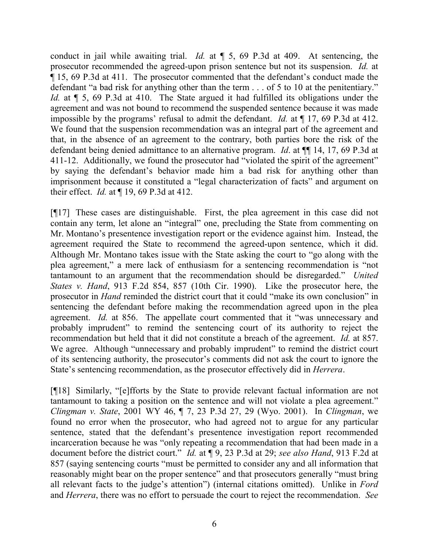conduct in jail while awaiting trial. *Id.* at ¶ 5, 69 P.3d at 409. At sentencing, the prosecutor recommended the agreed-upon prison sentence but not its suspension. *Id.* at ¶ 15, 69 P.3d at 411. The prosecutor commented that the defendant's conduct made the defendant "a bad risk for anything other than the term . . . of 5 to 10 at the penitentiary." Id. at  $\P$  5, 69 P.3d at 410. The State argued it had fulfilled its obligations under the agreement and was not bound to recommend the suspended sentence because it was made impossible by the programs' refusal to admit the defendant. *Id.* at ¶ 17, 69 P.3d at 412. We found that the suspension recommendation was an integral part of the agreement and that, in the absence of an agreement to the contrary, both parties bore the risk of the defendant being denied admittance to an alternative program. *Id*. at ¶¶ 14, 17, 69 P.3d at 411-12. Additionally, we found the prosecutor had "violated the spirit of the agreement" by saying the defendant's behavior made him a bad risk for anything other than imprisonment because it constituted a "legal characterization of facts" and argument on their effect. *Id.* at ¶ 19, 69 P.3d at 412.

[¶17] These cases are distinguishable. First, the plea agreement in this case did not contain any term, let alone an "integral" one, precluding the State from commenting on Mr. Montano's presentence investigation report or the evidence against him. Instead, the agreement required the State to recommend the agreed-upon sentence, which it did. Although Mr. Montano takes issue with the State asking the court to "go along with the plea agreement," a mere lack of enthusiasm for a sentencing recommendation is "not tantamount to an argument that the recommendation should be disregarded." *United States v. Hand*, 913 F.2d 854, 857 (10th Cir. 1990). Like the prosecutor here, the prosecutor in *Hand* reminded the district court that it could "make its own conclusion" in sentencing the defendant before making the recommendation agreed upon in the plea agreement. *Id.* at 856. The appellate court commented that it "was unnecessary and probably imprudent" to remind the sentencing court of its authority to reject the recommendation but held that it did not constitute a breach of the agreement. *Id.* at 857. We agree. Although "unnecessary and probably imprudent" to remind the district court of its sentencing authority, the prosecutor's comments did not ask the court to ignore the State's sentencing recommendation, as the prosecutor effectively did in *Herrera*.

[¶18] Similarly, "[e]fforts by the State to provide relevant factual information are not tantamount to taking a position on the sentence and will not violate a plea agreement." *Clingman v. State*, 2001 WY 46, ¶ 7, 23 P.3d 27, 29 (Wyo. 2001). In *Clingman*, we found no error when the prosecutor, who had agreed not to argue for any particular sentence, stated that the defendant's presentence investigation report recommended incarceration because he was "only repeating a recommendation that had been made in a document before the district court." *Id.* at ¶ 9, 23 P.3d at 29; *see also Hand*, 913 F.2d at 857 (saying sentencing courts "must be permitted to consider any and all information that reasonably might bear on the proper sentence" and that prosecutors generally "must bring all relevant facts to the judge's attention") (internal citations omitted). Unlike in *Ford*  and *Herrera*, there was no effort to persuade the court to reject the recommendation. *See*